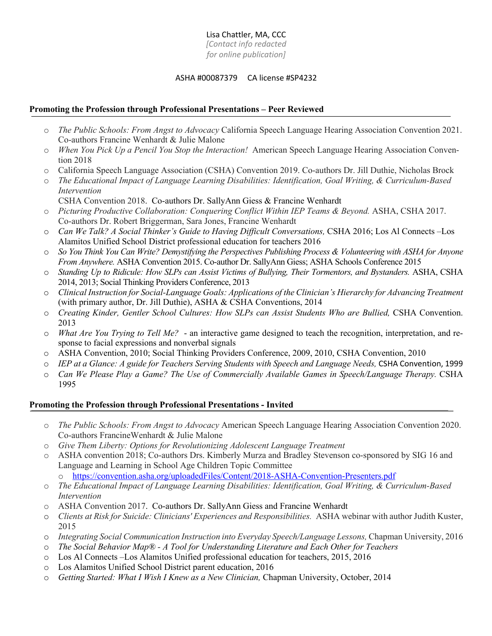# Lisa Chattler, MA, CCC

*[Contact info redacted for online publication]*

## ASHA #00087379 CA license #SP4232

# **Promoting the Profession through Professional Presentations – Peer Reviewed**

- o *The Public Schools: From Angst to Advocacy* California Speech Language Hearing Association Convention 2021. Co-authors Francine Wenhardt & Julie Malone
- o *When You Pick Up a Pencil You Stop the Interaction!* American Speech Language Hearing Association Convention 2018
- o California Speech Language Association (CSHA) Convention 2019. Co-authors Dr. Jill Duthie, Nicholas Brock
- o *The Educational Impact of Language Learning Disabilities: Identification, Goal Writing, & Curriculum-Based Intervention* CSHA Convention 2018. Co-authors Dr. SallyAnn Giess & Francine Wenhardt
- o *Picturing Productive Collaboration: Conquering Conflict Within IEP Teams & Beyond.* ASHA, CSHA 2017. Co-authors Dr. Robert Briggerman, Sara Jones, Francine Wenhardt
- o *Can We Talk? A Social Thinker's Guide to Having Difficult Conversations,* CSHA 2016; Los Al Connects –Los Alamitos Unified School District professional education for teachers 2016
- $\circ$  So You Think You Can Write? Demystifying the Perspectives Publishing Process & Volunteering with ASHA for Anyone *From Anywhere.* ASHA Convention 2015. Co-author Dr. SallyAnn Giess; ASHA Schools Conference 2015
- o *Standing Up to Ridicule: How SLPs can Assist Victims of Bullying, Their Tormentors, and Bystanders.* ASHA, CSHA 2014, 2013; Social Thinking Providers Conference, 2013
- o *Clinical Instruction for Social-Language Goals: Applications of the Clinician's Hierarchy for Advancing Treatment* (with primary author, Dr. Jill Duthie), ASHA & CSHA Conventions, 2014
- o *Creating Kinder, Gentler School Cultures: How SLPs can Assist Students Who are Bullied,* CSHA Convention. 2013
- o *What Are You Trying to Tell Me?* an interactive game designed to teach the recognition, interpretation, and response to facial expressions and nonverbal signals
- o ASHA Convention, 2010; Social Thinking Providers Conference, 2009, 2010, CSHA Convention, 2010
- o *IEP at a Glance: A guide for Teachers Serving Students with Speech and Language Needs,* CSHA Convention, 1999
- o *Can We Please Play a Game? The Use of Commercially Available Games in Speech/Language Therapy.* CSHA 1995

# **Promoting the Profession through Professional Presentations - Invited**

- o *The Public Schools: From Angst to Advocacy* American Speech Language Hearing Association Convention 2020. Co-authors FrancineWenhardt & Julie Malone
- o *Give Them Liberty: Options for Revolutionizing Adolescent Language Treatment*
- o ASHA convention 2018; Co-authors Drs. Kimberly Murza and Bradley Stevenson co-sponsored by SIG 16 and Language and Learning in School Age Children Topic Committee o https://convention.asha.org/uploadedFiles/Content/2018-ASHA-Convention-Presenters.pdf
- o *The Educational Impact of Language Learning Disabilities: Identification, Goal Writing, & Curriculum-Based Intervention*
- o ASHA Convention 2017. Co-authors Dr. SallyAnn Giess and Francine Wenhardt
- o *Clients at Risk for Suicide: Clinicians' Experiences and Responsibilities.* ASHA webinar with author Judith Kuster, 2015
- o *Integrating Social Communication Instruction into Everyday Speech/Language Lessons,* Chapman University, 2016
- o *The Social Behavior Map® - A Tool for Understanding Literature and Each Other for Teachers*
- o Los Al Connects –Los Alamitos Unified professional education for teachers, 2015, 2016
- o Los Alamitos Unified School District parent education, 2016
- o *Getting Started: What I Wish I Knew as a New Clinician,* Chapman University, October, 2014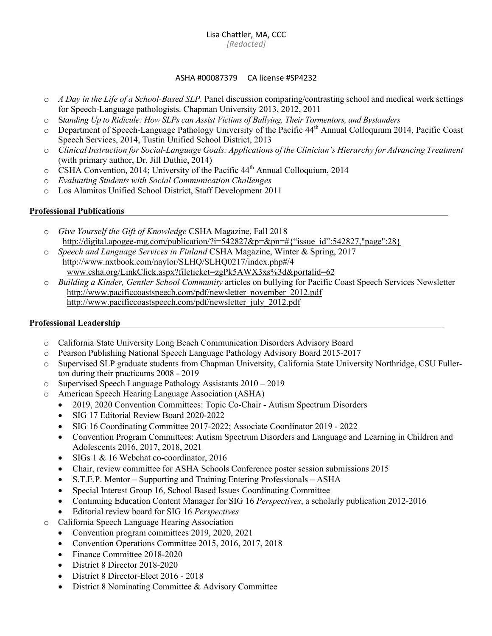#### ASHA #00087379 CA license #SP4232

- o *A Day in the Life of a School-Based SLP.* Panel discussion comparing/contrasting school and medical work settings for Speech-Language pathologists. Chapman University 2013, 2012, 2011
- o S*tanding Up to Ridicule: How SLPs can Assist Victims of Bullying, Their Tormentors, and Bystanders*
- o Department of Speech-Language Pathology University of the Pacific 44th Annual Colloquium 2014, Pacific Coast Speech Services, 2014, Tustin Unified School District, 2013
- o *Clinical Instruction for Social-Language Goals: Applications of the Clinician's Hierarchy for Advancing Treatment* (with primary author, Dr. Jill Duthie, 2014)
- o CSHA Convention, 2014; University of the Pacific 44th Annual Colloquium, 2014
- o *Evaluating Students with Social Communication Challenges*
- o Los Alamitos Unified School District, Staff Development 2011

## **Professional Publications**

- o *Give Yourself the Gift of Knowledge* CSHA Magazine, Fall 2018 http://digital.apogee-mg.com/publication/?i=542827&p=&pn=#{"issue\_id":542827,"page":28}
- o *Speech and Language Services in Finland* CSHA Magazine, Winter & Spring, 2017 http://www.nxtbook.com/naylor/SLHQ/SLHQ0217/index.php#/4 www.csha.org/LinkClick.aspx?fileticket=zgPk5AWX3xs%3d&portalid=62
- o *Building a Kinder, Gentler School Community* articles on bullying for Pacific Coast Speech Services Newsletter http://www.pacificcoastspeech.com/pdf/newsletter\_november\_2012.pdf http://www.pacificcoastspeech.com/pdf/newsletter\_july\_2012.pdf

## **Professional Leadership**

- o California State University Long Beach Communication Disorders Advisory Board
- o Pearson Publishing National Speech Language Pathology Advisory Board 2015-2017
- o Supervised SLP graduate students from Chapman University, California State University Northridge, CSU Fullerton during their practicums 2008 - 2019
- o Supervised Speech Language Pathology Assistants 2010 2019
- o American Speech Hearing Language Association (ASHA)
	- 2019, 2020 Convention Committees: Topic Co-Chair Autism Spectrum Disorders
	- SIG 17 Editorial Review Board 2020-2022
	- SIG 16 Coordinating Committee 2017-2022; Associate Coordinator 2019 2022
	- Convention Program Committees: Autism Spectrum Disorders and Language and Learning in Children and Adolescents 2016, 2017, 2018, 2021
	- SIGs 1 & 16 Webchat co-coordinator, 2016
	- Chair, review committee for ASHA Schools Conference poster session submissions 2015
	- S.T.E.P. Mentor Supporting and Training Entering Professionals ASHA
	- Special Interest Group 16, School Based Issues Coordinating Committee
	- Continuing Education Content Manager for SIG 16 *Perspectives*, a scholarly publication 2012-2016
	- Editorial review board for SIG 16 *Perspectives*
- o California Speech Language Hearing Association
	- Convention program committees 2019, 2020, 2021
	- Convention Operations Committee 2015, 2016, 2017, 2018
	- Finance Committee 2018-2020
	- District 8 Director 2018-2020
	- District 8 Director-Elect 2016 2018
	- District 8 Nominating Committee & Advisory Committee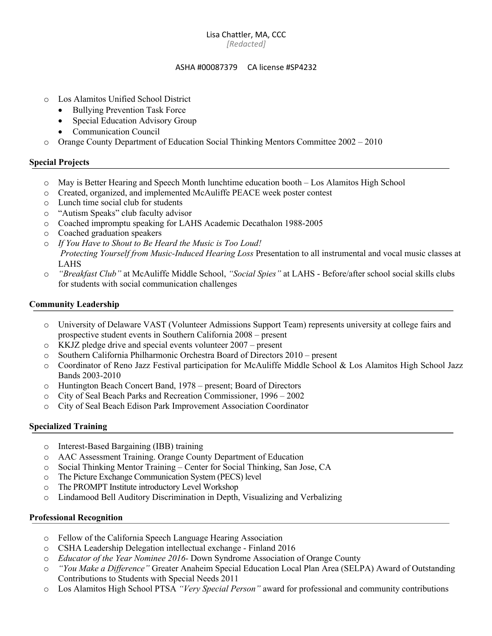#### Lisa Chattler, MA, CCC *[Redacted]*

#### ASHA #00087379 CA license #SP4232

- o Los Alamitos Unified School District
	- **Bullying Prevention Task Force**
	- Special Education Advisory Group
	- Communication Council
- o Orange County Department of Education Social Thinking Mentors Committee 2002 2010

#### **Special Projects**

- o May is Better Hearing and Speech Month lunchtime education booth Los Alamitos High School
- o Created, organized, and implemented McAuliffe PEACE week poster contest
- o Lunch time social club for students
- o "Autism Speaks" club faculty advisor
- o Coached impromptu speaking for LAHS Academic Decathalon 1988-2005
- o Coached graduation speakers
- o *If You Have to Shout to Be Heard the Music is Too Loud! Protecting Yourself from Music-Induced Hearing Loss* Presentation to all instrumental and vocal music classes at LAHS
- o *"Breakfast Club"* at McAuliffe Middle School, *"Social Spies"* at LAHS Before/after school social skills clubs for students with social communication challenges

#### **Community Leadership**

- o University of Delaware VAST (Volunteer Admissions Support Team) represents university at college fairs and prospective student events in Southern California 2008 – present
- o KKJZ pledge drive and special events volunteer 2007 present
- o Southern California Philharmonic Orchestra Board of Directors 2010 present
- o Coordinator of Reno Jazz Festival participation for McAuliffe Middle School & Los Alamitos High School Jazz Bands 2003-2010
- o Huntington Beach Concert Band, 1978 present; Board of Directors
- o City of Seal Beach Parks and Recreation Commissioner, 1996 2002
- o City of Seal Beach Edison Park Improvement Association Coordinator

#### **Specialized Training**

- o Interest-Based Bargaining (IBB) training
- o AAC Assessment Training. Orange County Department of Education
- o Social Thinking Mentor Training Center for Social Thinking, San Jose, CA
- o The Picture Exchange Communication System (PECS) level
- o The PROMPT Institute introductory Level Workshop
- o Lindamood Bell Auditory Discrimination in Depth, Visualizing and Verbalizing

#### **Professional Recognition**

- o Fellow of the California Speech Language Hearing Association
- o CSHA Leadership Delegation intellectual exchange Finland 2016
- o *Educator of the Year Nominee 2016-* Down Syndrome Association of Orange County
- o *"You Make a Difference"* Greater Anaheim Special Education Local Plan Area (SELPA) Award of Outstanding Contributions to Students with Special Needs 2011
- o Los Alamitos High School PTSA *"Very Special Person"* award for professional and community contributions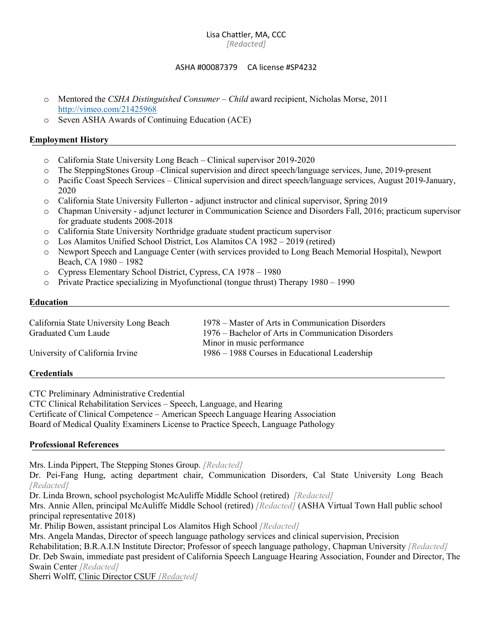# Lisa Chattler, MA, CCC

*[Redacted]*

## ASHA #00087379 CA license #SP4232

- o Mentored the *CSHA Distinguished Consumer – Child* award recipient, Nicholas Morse, 2011 http://vimeo.com/21425968
- o Seven ASHA Awards of Continuing Education (ACE)

## **Employment History**

- o California State University Long Beach Clinical supervisor 2019-2020
- o The SteppingStones Group –Clinical supervision and direct speech/language services, June, 2019-present
- o Pacific Coast Speech Services Clinical supervision and direct speech/language services, August 2019-January, 2020
- o California State University Fullerton adjunct instructor and clinical supervisor, Spring 2019
- o Chapman University adjunct lecturer in Communication Science and Disorders Fall, 2016; practicum supervisor for graduate students 2008-2018
- o California State University Northridge graduate student practicum supervisor
- o Los Alamitos Unified School District, Los Alamitos CA 1982 2019 (retired)
- o Newport Speech and Language Center (with services provided to Long Beach Memorial Hospital), Newport Beach, CA 1980 – 1982
- o Cypress Elementary School District, Cypress, CA 1978 1980
- o Private Practice specializing in Myofunctional (tongue thrust) Therapy 1980 1990

#### **Education**

| California State University Long Beach | 1978 – Master of Arts in Communication Disorders   |
|----------------------------------------|----------------------------------------------------|
| Graduated Cum Laude                    | 1976 – Bachelor of Arts in Communication Disorders |
|                                        | Minor in music performance                         |
| University of California Irvine        | 1986 – 1988 Courses in Educational Leadership      |

# **Credentials**

CTC Preliminary Administrative Credential CTC Clinical Rehabilitation Services – Speech, Language, and Hearing Certificate of Clinical Competence – American Speech Language Hearing Association Board of Medical Quality Examiners License to Practice Speech, Language Pathology

#### **Professional References**

Mrs. Linda Pippert, The Stepping Stones Group. *[Redacted]*

Dr. Pei-Fang Hung, acting department chair, Communication Disorders, Cal State University Long Beach *[Redacted]*

Dr. Linda Brown, school psychologist McAuliffe Middle School (retired) *[Redacted]*

Mrs. Annie Allen, principal McAuliffe Middle School (retired) *[Redacted]* (ASHA Virtual Town Hall public school principal representative 2018)

Mr. Philip Bowen, assistant principal Los Alamitos High School *[Redacted]*

Mrs. Angela Mandas, Director of speech language pathology services and clinical supervision, Precision

Rehabilitation; B.R.A.I.N Institute Director; Professor of speech language pathology, Chapman University *[Redacted]* Dr. Deb Swain, immediate past president of California Speech Language Hearing Association, Founder and Director, The Swain Center *[Redacted]*

Sherri Wolff, Clinic Director CSUF *[Redacted]*